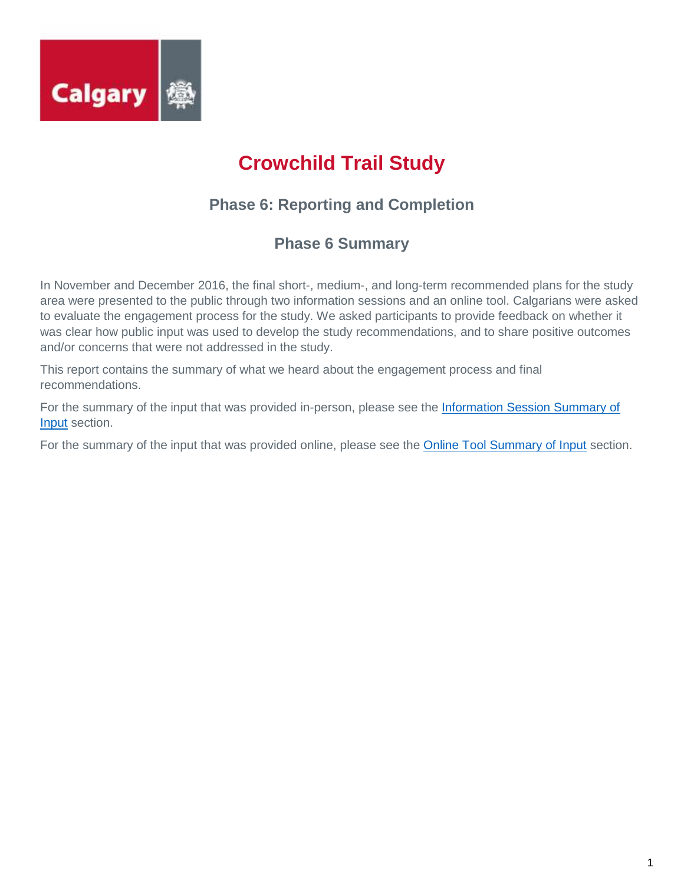

# **Crowchild Trail Study**

**Phase 6: Reporting and Completion**

## **Phase 6 Summary**

In November and December 2016, the final short-, medium-, and long-term recommended plans for the study area were presented to the public through two information sessions and an online tool. Calgarians were asked to evaluate the engagement process for the study. We asked participants to provide feedback on whether it was clear how public input was used to develop the study recommendations, and to share positive outcomes and/or concerns that were not addressed in the study.

This report contains the summary of what we heard about the engagement process and final recommendations.

For the summary of the input that was provided in-person, please see the Information Session Summary of [Input](#page-1-0) section.

For the summary of the input that was provided online, please see the **Online Tool Summary of Input** section.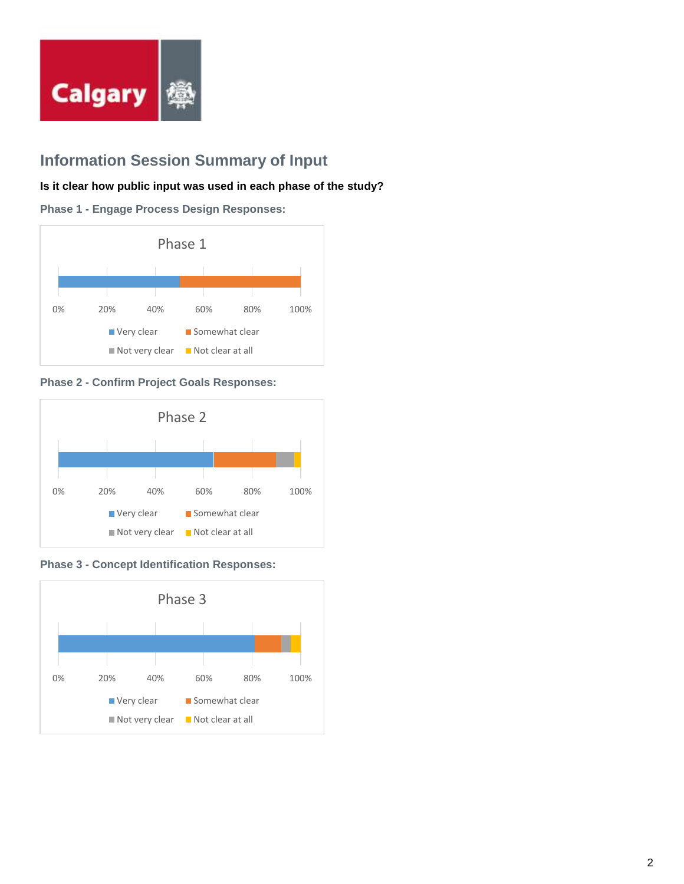

## <span id="page-1-0"></span>**Information Session Summary of Input**

### **Is it clear how public input was used in each phase of the study?**

**Phase 1 - Engage Process Design Responses:**



**Phase 2 - Confirm Project Goals Responses:**



**Phase 3 - Concept Identification Responses:**

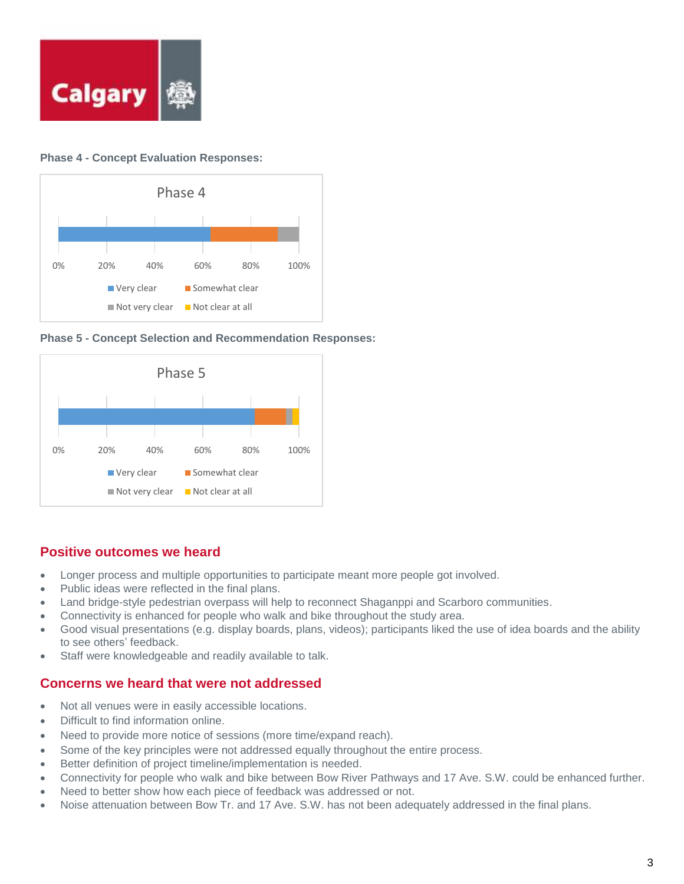

#### **Phase 4 - Concept Evaluation Responses:**



**Phase 5 - Concept Selection and Recommendation Responses:**



## **Positive outcomes we heard**

- Longer process and multiple opportunities to participate meant more people got involved.
- Public ideas were reflected in the final plans.
- Land bridge-style pedestrian overpass will help to reconnect Shaganppi and Scarboro communities.
- Connectivity is enhanced for people who walk and bike throughout the study area.
- Good visual presentations (e.g. display boards, plans, videos); participants liked the use of idea boards and the ability to see others' feedback.
- Staff were knowledgeable and readily available to talk.

#### **Concerns we heard that were not addressed**

- Not all venues were in easily accessible locations.
- Difficult to find information online.
- Need to provide more notice of sessions (more time/expand reach).
- Some of the key principles were not addressed equally throughout the entire process.
- Better definition of project timeline/implementation is needed.
- Connectivity for people who walk and bike between Bow River Pathways and 17 Ave. S.W. could be enhanced further.
- Need to better show how each piece of feedback was addressed or not.
- Noise attenuation between Bow Tr. and 17 Ave. S.W. has not been adequately addressed in the final plans.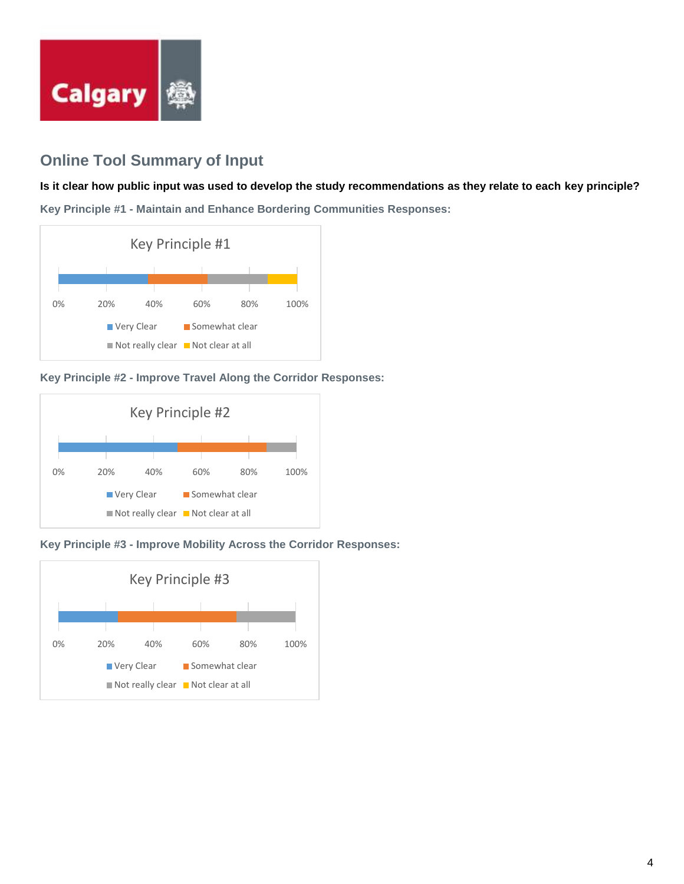

# <span id="page-3-0"></span>**Online Tool Summary of Input**

**Is it clear how public input was used to develop the study recommendations as they relate to each key principle? Key Principle #1 - Maintain and Enhance Bordering Communities Responses:**



**Key Principle #2 - Improve Travel Along the Corridor Responses:**



**Key Principle #3 - Improve Mobility Across the Corridor Responses:**